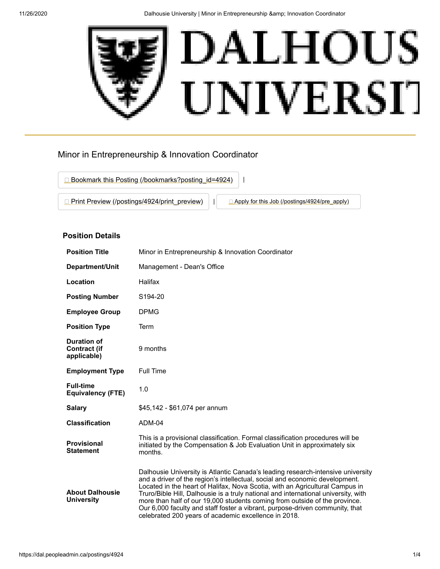

# Minor in Entrepreneurship & Innovation Coordinator



## **Position Details**

| <b>Position Title</b>                             | Minor in Entrepreneurship & Innovation Coordinator                                                                                                                                                                                                                                                                                                                                                                                                                                                                                                         |  |
|---------------------------------------------------|------------------------------------------------------------------------------------------------------------------------------------------------------------------------------------------------------------------------------------------------------------------------------------------------------------------------------------------------------------------------------------------------------------------------------------------------------------------------------------------------------------------------------------------------------------|--|
| Department/Unit                                   | Management - Dean's Office                                                                                                                                                                                                                                                                                                                                                                                                                                                                                                                                 |  |
| Location                                          | Halifax                                                                                                                                                                                                                                                                                                                                                                                                                                                                                                                                                    |  |
| <b>Posting Number</b>                             | S <sub>194-20</sub>                                                                                                                                                                                                                                                                                                                                                                                                                                                                                                                                        |  |
| <b>Employee Group</b>                             | <b>DPMG</b>                                                                                                                                                                                                                                                                                                                                                                                                                                                                                                                                                |  |
| <b>Position Type</b>                              | Term                                                                                                                                                                                                                                                                                                                                                                                                                                                                                                                                                       |  |
| Duration of<br><b>Contract (if</b><br>applicable) | 9 months                                                                                                                                                                                                                                                                                                                                                                                                                                                                                                                                                   |  |
| <b>Employment Type</b>                            | <b>Full Time</b>                                                                                                                                                                                                                                                                                                                                                                                                                                                                                                                                           |  |
| <b>Full-time</b><br><b>Equivalency (FTE)</b>      | 1.0                                                                                                                                                                                                                                                                                                                                                                                                                                                                                                                                                        |  |
| <b>Salary</b>                                     | \$45,142 - \$61,074 per annum                                                                                                                                                                                                                                                                                                                                                                                                                                                                                                                              |  |
| <b>Classification</b>                             | ADM-04                                                                                                                                                                                                                                                                                                                                                                                                                                                                                                                                                     |  |
| <b>Provisional</b><br><b>Statement</b>            | This is a provisional classification. Formal classification procedures will be<br>initiated by the Compensation & Job Evaluation Unit in approximately six<br>months.                                                                                                                                                                                                                                                                                                                                                                                      |  |
| <b>About Dalhousie</b><br><b>University</b>       | Dalhousie University is Atlantic Canada's leading research-intensive university<br>and a driver of the region's intellectual, social and economic development.<br>Located in the heart of Halifax, Nova Scotia, with an Agricultural Campus in<br>Truro/Bible Hill, Dalhousie is a truly national and international university, with<br>more than half of our 19,000 students coming from outside of the province.<br>Our 6,000 faculty and staff foster a vibrant, purpose-driven community, that<br>celebrated 200 years of academic excellence in 2018. |  |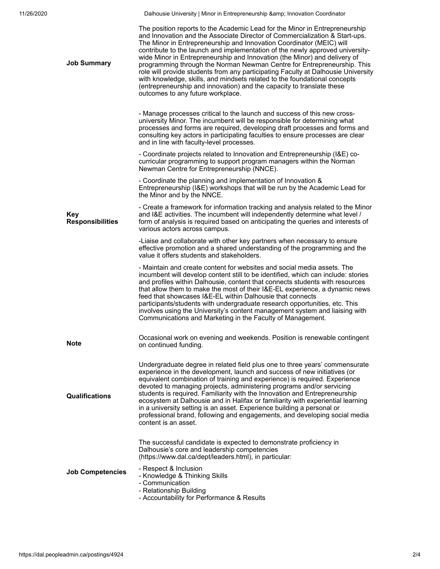11/26/2020 **Dalhousie University | Minor in Entrepreneurship & amp**; Innovation Coordinator

| <b>Job Summary</b>             | The position reports to the Academic Lead for the Minor in Entrepreneurship<br>and Innovation and the Associate Director of Commercialization & Start-ups.<br>The Minor in Entrepreneurship and Innovation Coordinator (MEIC) will<br>contribute to the launch and implementation of the newly approved university-<br>wide Minor in Entrepreneurship and Innovation (the Minor) and delivery of<br>programming through the Norman Newman Centre for Entrepreneurship. This<br>role will provide students from any participating Faculty at Dalhousie University<br>with knowledge, skills, and mindsets related to the foundational concepts<br>(entrepreneurship and innovation) and the capacity to translate these<br>outcomes to any future workplace. |
|--------------------------------|-------------------------------------------------------------------------------------------------------------------------------------------------------------------------------------------------------------------------------------------------------------------------------------------------------------------------------------------------------------------------------------------------------------------------------------------------------------------------------------------------------------------------------------------------------------------------------------------------------------------------------------------------------------------------------------------------------------------------------------------------------------|
|                                | - Manage processes critical to the launch and success of this new cross-<br>university Minor. The incumbent will be responsible for determining what<br>processes and forms are required, developing draft processes and forms and<br>consulting key actors in participating faculties to ensure processes are clear<br>and in line with faculty-level processes.                                                                                                                                                                                                                                                                                                                                                                                           |
|                                | - Coordinate projects related to Innovation and Entrepreneurship (I&E) co-<br>curricular programming to support program managers within the Norman<br>Newman Centre for Entrepreneurship (NNCE).                                                                                                                                                                                                                                                                                                                                                                                                                                                                                                                                                            |
|                                | - Coordinate the planning and implementation of Innovation &<br>Entrepreneurship (I&E) workshops that will be run by the Academic Lead for<br>the Minor and by the NNCE.                                                                                                                                                                                                                                                                                                                                                                                                                                                                                                                                                                                    |
| Key<br><b>Responsibilities</b> | - Create a framework for information tracking and analysis related to the Minor<br>and I&E activities. The incumbent will independently determine what level /<br>form of analysis is required based on anticipating the queries and interests of<br>various actors across campus.                                                                                                                                                                                                                                                                                                                                                                                                                                                                          |
|                                | -Liaise and collaborate with other key partners when necessary to ensure<br>effective promotion and a shared understanding of the programming and the<br>value it offers students and stakeholders.                                                                                                                                                                                                                                                                                                                                                                                                                                                                                                                                                         |
|                                | - Maintain and create content for websites and social media assets. The<br>incumbent will develop content still to be identified, which can include: stories<br>and profiles within Dalhousie, content that connects students with resources<br>that allow them to make the most of their I&E-EL experience, a dynamic news<br>feed that showcases I&E-EL within Dalhousie that connects<br>participants/students with undergraduate research opportunities, etc. This<br>involves using the University's content management system and liaising with<br>Communications and Marketing in the Faculty of Management.                                                                                                                                         |
| <b>Note</b>                    | Occasional work on evening and weekends. Position is renewable contingent<br>on continued funding.                                                                                                                                                                                                                                                                                                                                                                                                                                                                                                                                                                                                                                                          |
| <b>Qualifications</b>          | Undergraduate degree in related field plus one to three years' commensurate<br>experience in the development, launch and success of new initiatives (or<br>equivalent combination of training and experience) is required. Experience<br>devoted to managing projects, administering programs and/or servicing<br>students is required. Familiarity with the Innovation and Entrepreneurship<br>ecosystem at Dalhousie and in Halifax or familiarity with experiential learning<br>in a university setting is an asset. Experience building a personal or<br>professional brand, following and engagements, and developing social media<br>content is an asset.                                                                                             |
|                                | The successful candidate is expected to demonstrate proficiency in<br>Dalhousie's core and leadership competencies<br>(https://www.dal.ca/dept/leaders.html), in particular:                                                                                                                                                                                                                                                                                                                                                                                                                                                                                                                                                                                |
| <b>Job Competencies</b>        | - Respect & Inclusion<br>- Knowledge & Thinking Skills<br>- Communication<br>- Relationship Building<br>- Accountability for Performance & Results                                                                                                                                                                                                                                                                                                                                                                                                                                                                                                                                                                                                          |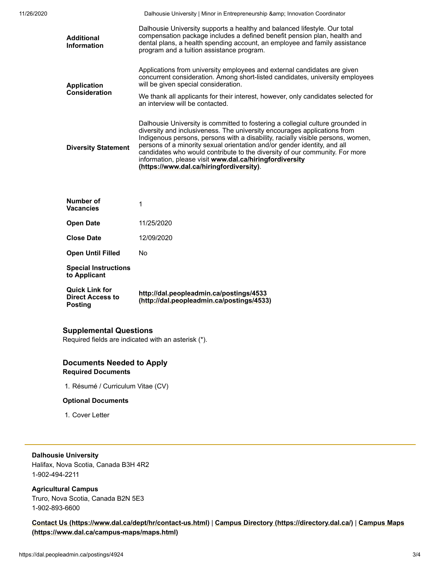| 11/26/2020 |                                         | Dalhousie University   Minor in Entrepreneurship & amp; Innovation Coordinator                                                                                                                                                                                                   |
|------------|-----------------------------------------|----------------------------------------------------------------------------------------------------------------------------------------------------------------------------------------------------------------------------------------------------------------------------------|
|            | <b>Additional</b><br><b>Information</b> | Dalhousie University supports a healthy and balanced lifestyle. Our total<br>compensation package includes a defined benefit pension plan, health and<br>dental plans, a health spending account, an employee and family assistance<br>program and a tuition assistance program. |
|            | Application                             | Applications from university employees and external candidates are given<br>concurrent consideration. Among short-listed candidates, university employees<br>will be given special consideration.                                                                                |
|            | <b>Consideration</b>                    | We thank all applicants for their interest, however, only candidates selected for<br>an interview will be contacted.                                                                                                                                                             |
|            |                                         |                                                                                                                                                                                                                                                                                  |

**Diversity Statement** Dalhousie University is committed to fostering a collegial culture grounded in diversity and inclusiveness. The university encourages applications from Indigenous persons, persons with a disability, racially visible persons, women, persons of a minority sexual orientation and/or gender identity, and all candidates who would contribute to the diversity of our community. For more information, please visit **www.dal.ca/hiringfordiversity [\(https://www.dal.ca/hiringfordiversity\)](https://www.dal.ca/hiringfordiversity)**.

| <b>Quick Link for</b><br><b>Direct Access to</b><br>Posting | http://dal.peopleadmin.ca/postings/4533<br>(http://dal.peopleadmin.ca/postings/4533) |
|-------------------------------------------------------------|--------------------------------------------------------------------------------------|
| <b>Special Instructions</b><br>to Applicant                 |                                                                                      |
| <b>Open Until Filled</b>                                    | No                                                                                   |
| <b>Close Date</b>                                           | 12/09/2020                                                                           |
| <b>Open Date</b>                                            | 11/25/2020                                                                           |
| Number of<br><b>Vacancies</b>                               |                                                                                      |

#### **Supplemental Questions**

Required fields are indicated with an asterisk (\*).

## **Documents Needed to Apply Required Documents**

1. Résumé / Curriculum Vitae (CV)

#### **Optional Documents**

1. Cover Letter

## **Dalhousie University**

Halifax, Nova Scotia, Canada B3H 4R2 1-902-494-2211

**Agricultural Campus** Truro, Nova Scotia, Canada B2N 5E3

1-902-893-6600

**[Contact Us \(https://www.dal.ca/dept/hr/contact-us.html\)](https://www.dal.ca/dept/hr/contact-us.html)** | **[Campus Directory \(https://directory.dal.ca/\)](https://directory.dal.ca/)** | **Campus Maps (https://www.dal.ca/campus-maps/maps.html)**